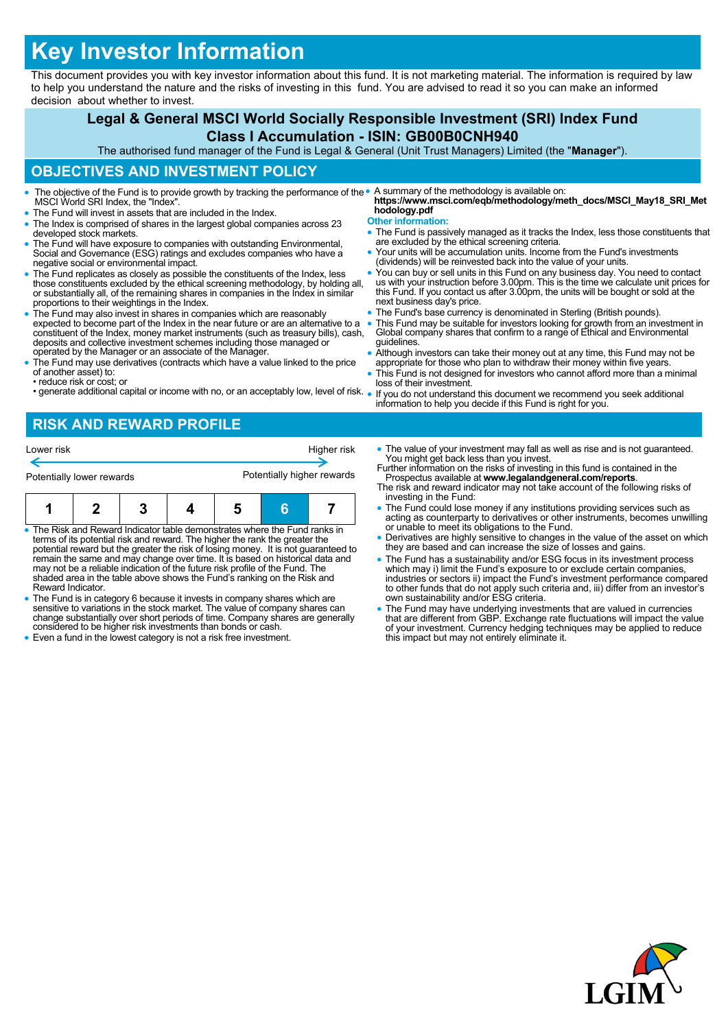# **Key Investor Information**

This document provides you with key investor information about this fund. It is not marketing material. The information is required by law to help you understand the nature and the risks of investing in this fund. You are advised to read it so you can make an informed decision about whether to invest.

#### **Legal & General MSCI World Socially Responsible Investment (SRI) Index Fund Class I Accumulation - ISIN: GB00B0CNH940** The authorised fund manager of the Fund is Legal & General (Unit Trust Managers) Limited (the "**Manager**"). **OBJECTIVES AND INVESTMENT POLICY** The objective of the Fund is to provide growth by tracking the performance of the • MSCI World SRI Index, the "Index". The Fund will invest in assets that are included in the Index. The Index is comprised of shares in the largest global companies across 23 developed stock markets. The Fund will have exposure to companies with outstanding Environmental, Social and Governance (ESG) ratings and excludes companies who have a negative social or environmental impact. The Fund replicates as closely as possible the constituents of the Index, less those constituents excluded by the ethical screening methodology, by holding all, or substantially all, of the remaining shares in companies in the Index in similar proportions to their weightings in the Index. The Fund may also invest in shares in companies which are reasonably expected to become part of the Index in the near future or are an alternative to a constituent of the Index, money market instruments (such as treasury bills), cash, deposits and collective investment schemes including those managed or operated by the Manager or an associate of the Manager. The Fund may use derivatives (contracts which have a value linked to the price of another asset) to: • reduce risk or cost; or • generate additional capital or income with no, or an acceptably low, level of risk. A summary of the methodology is available on: **https://www.msci.com/eqb/methodology/meth\_docs/MSCI\_May18\_SRI\_Met hodology.pdf Other information:** The Fund is passively managed as it tracks the Index, less those constituents that are excluded by the ethical screening criteria. Your units will be accumulation units. Income from the Fund's investments (dividends) will be reinvested back into the value of your units. You can buy or sell units in this Fund on any business day. You need to contact us with your instruction before 3.00pm. This is the time we calculate unit prices for this Fund. If you contact us after 3.00pm, the units will be bought or sold at the next business day's price. The Fund's base currency is denominated in Sterling (British pounds). This Fund may be suitable for investors looking for growth from an investment in Global company shares that confirm to a range of Ethical and Environmental guidelines. Although investors can take their money out at any time, this Fund may not be appropriate for those who plan to withdraw their money within five years. This Fund is not designed for investors who cannot afford more than a minimal loss of their investment. If you do not understand this document we recommend you seek additional information to help you decide if this Fund is right for you.

## **RISK AND REWARD PROFILE**

| Lower risk                                                                                                                                                                                     |  |  |  |  | Higher risk |  |  |  |
|------------------------------------------------------------------------------------------------------------------------------------------------------------------------------------------------|--|--|--|--|-------------|--|--|--|
| Potentially higher rewards<br>Potentially lower rewards                                                                                                                                        |  |  |  |  |             |  |  |  |
|                                                                                                                                                                                                |  |  |  |  |             |  |  |  |
| • The Risk and Reward Indicator table demonstrates where the Fund ranks in<br>المتطلب وملح ويستري والمناور والمستور والتناسي المتواصل والمستريح والمثور والمتحاولات والمتحدد والمتحدد والمستحل |  |  |  |  |             |  |  |  |

• The Risk and Reward Indicator table demonstrates where the Fund ranks in<br>terms of its potential risk and reward. The higher the rank the greater the<br>potential reward but the greater the risk of losing money. It is not gu may not be a reliable indication of the future risk profile of the Fund. The shaded area in the table above shows the Fund's ranking on the Risk and Reward Indicator.

 The Fund is in category 6 because it invests in company shares which are sensitive to variations in the stock market. The value of company shares can change substantially over short periods of time. Company shares are generally considered to be higher risk investments than bonds or cash.

• Even a fund in the lowest category is not a risk free investment.

• The value of your investment may fall as well as rise and is not quaranteed. You might get back less than you invest.

Further information on the risks of investing in this fund is contained in the Prospectus available at **www.legalandgeneral.com/reports**. The risk and reward indicator may not take account of the following risks of

- investing in the Fund: The Fund could lose money if any institutions providing services such as acting as counterparty to derivatives or other instruments, becomes unwilling or unable to meet its obligations to the Fund.
- Derivatives are highly sensitive to changes in the value of the asset on which they are based and can increase the size of losses and gains.
- The Fund has a sustainability and/or ESG focus in its investment process which may i) limit the Fund's exposure to or exclude certain companies, industries or sectors ii) impact the Fund's investment performance compared to other funds that do not apply such criteria and, iii) differ from an investor's own sustainability and/or ESG criteria.
- The Fund may have underlying investments that are valued in currencies that are different from GBP. Exchange rate fluctuations will impact the value of your investment. Currency hedging techniques may be applied to reduce this impact but may not entirely eliminate it.